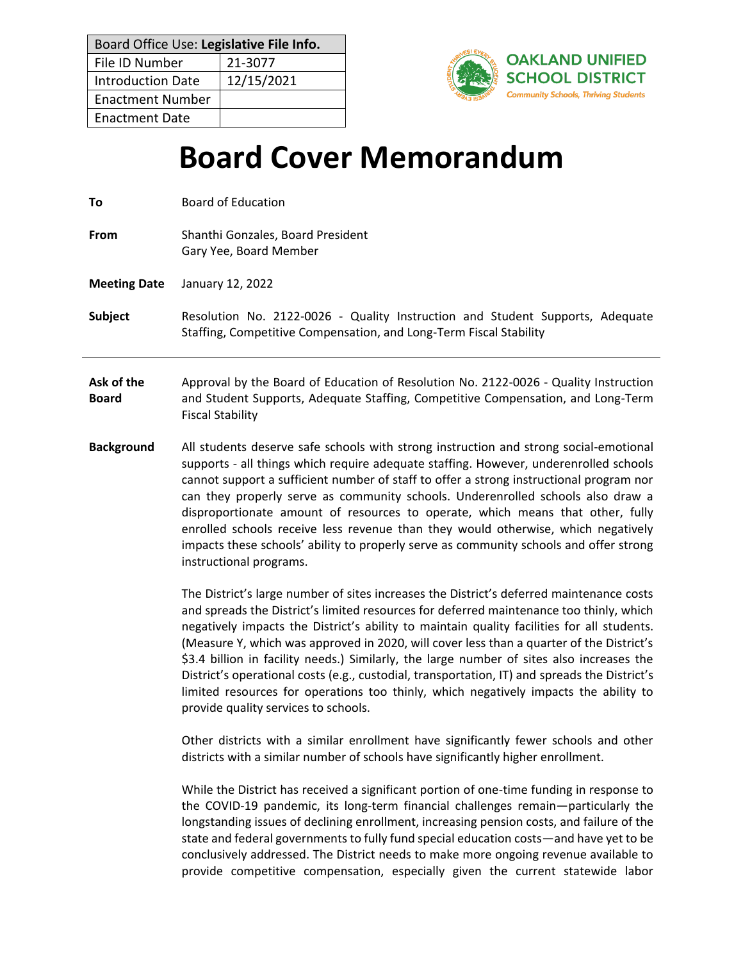| Board Office Use: Legislative File Info. |            |  |
|------------------------------------------|------------|--|
| File ID Number                           | 21-3077    |  |
| <b>Introduction Date</b>                 | 12/15/2021 |  |
| <b>Enactment Number</b>                  |            |  |
| <b>Enactment Date</b>                    |            |  |



# **Board Cover Memorandum**

**From** Shanthi Gonzales, Board President Gary Yee, Board Member

**Meeting Date** January 12, 2022

## **Subject** Resolution No. 2122-0026 - Quality Instruction and Student Supports, Adequate Staffing, Competitive Compensation, and Long-Term Fiscal Stability

**Ask of the Board** Approval by the Board of Education of Resolution No. 2122-0026 - Quality Instruction and Student Supports, Adequate Staffing, Competitive Compensation, and Long-Term Fiscal Stability

**Background** All students deserve safe schools with strong instruction and strong social-emotional supports - all things which require adequate staffing. However, underenrolled schools cannot support a sufficient number of staff to offer a strong instructional program nor can they properly serve as community schools. Underenrolled schools also draw a disproportionate amount of resources to operate, which means that other, fully enrolled schools receive less revenue than they would otherwise, which negatively impacts these schools' ability to properly serve as community schools and offer strong instructional programs.

> The District's large number of sites increases the District's deferred maintenance costs and spreads the District's limited resources for deferred maintenance too thinly, which negatively impacts the District's ability to maintain quality facilities for all students. (Measure Y, which was approved in 2020, will cover less than a quarter of the District's \$3.4 billion in facility needs.) Similarly, the large number of sites also increases the District's operational costs (e.g., custodial, transportation, IT) and spreads the District's limited resources for operations too thinly, which negatively impacts the ability to provide quality services to schools.

> Other districts with a similar enrollment have significantly fewer schools and other districts with a similar number of schools have significantly higher enrollment.

> While the District has received a significant portion of one-time funding in response to the COVID-19 pandemic, its long-term financial challenges remain—particularly the longstanding issues of declining enrollment, increasing pension costs, and failure of the state and federal governments to fully fund special education costs—and have yet to be conclusively addressed. The District needs to make more ongoing revenue available to provide competitive compensation, especially given the current statewide labor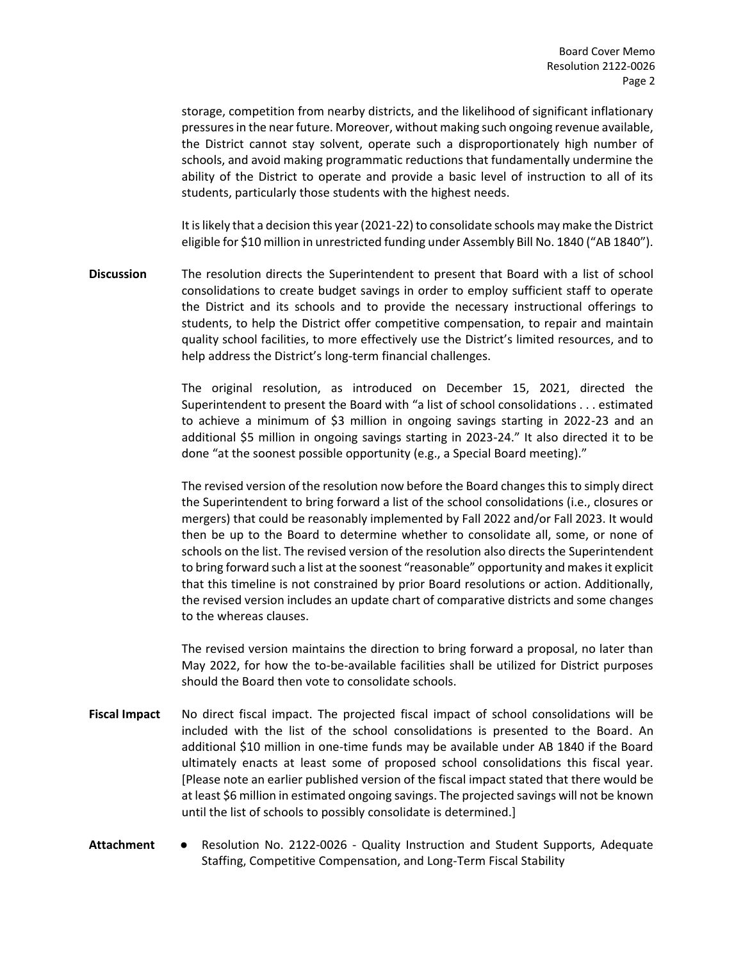storage, competition from nearby districts, and the likelihood of significant inflationary pressures in the near future. Moreover, without making such ongoing revenue available, the District cannot stay solvent, operate such a disproportionately high number of schools, and avoid making programmatic reductions that fundamentally undermine the ability of the District to operate and provide a basic level of instruction to all of its students, particularly those students with the highest needs.

It is likely that a decision this year (2021-22) to consolidate schools may make the District eligible for \$10 million in unrestricted funding under Assembly Bill No. 1840 ("AB 1840").

**Discussion** The resolution directs the Superintendent to present that Board with a list of school consolidations to create budget savings in order to employ sufficient staff to operate the District and its schools and to provide the necessary instructional offerings to students, to help the District offer competitive compensation, to repair and maintain quality school facilities, to more effectively use the District's limited resources, and to help address the District's long-term financial challenges.

> The original resolution, as introduced on December 15, 2021, directed the Superintendent to present the Board with "a list of school consolidations . . . estimated to achieve a minimum of \$3 million in ongoing savings starting in 2022-23 and an additional \$5 million in ongoing savings starting in 2023-24." It also directed it to be done "at the soonest possible opportunity (e.g., a Special Board meeting)."

> The revised version of the resolution now before the Board changes this to simply direct the Superintendent to bring forward a list of the school consolidations (i.e., closures or mergers) that could be reasonably implemented by Fall 2022 and/or Fall 2023. It would then be up to the Board to determine whether to consolidate all, some, or none of schools on the list. The revised version of the resolution also directs the Superintendent to bring forward such a list at the soonest "reasonable" opportunity and makes it explicit that this timeline is not constrained by prior Board resolutions or action. Additionally, the revised version includes an update chart of comparative districts and some changes to the whereas clauses.

> The revised version maintains the direction to bring forward a proposal, no later than May 2022, for how the to-be-available facilities shall be utilized for District purposes should the Board then vote to consolidate schools.

- **Fiscal Impact** No direct fiscal impact. The projected fiscal impact of school consolidations will be included with the list of the school consolidations is presented to the Board. An additional \$10 million in one-time funds may be available under AB 1840 if the Board ultimately enacts at least some of proposed school consolidations this fiscal year. [Please note an earlier published version of the fiscal impact stated that there would be at least \$6 million in estimated ongoing savings. The projected savings will not be known until the list of schools to possibly consolidate is determined.]
- **Attachment** Resolution No. 2122-0026 Quality Instruction and Student Supports, Adequate Staffing, Competitive Compensation, and Long-Term Fiscal Stability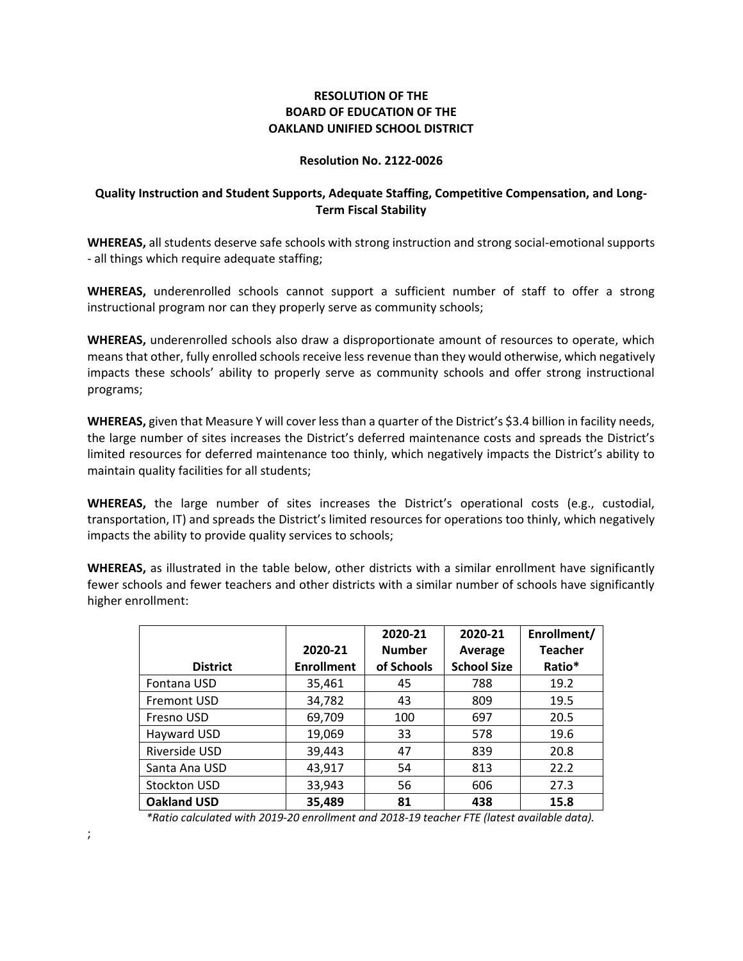## **RESOLUTION OF THE BOARD OF EDUCATION OF THE OAKLAND UNIFIED SCHOOL DISTRICT**

#### **Resolution No. 2122-0026**

## **Quality Instruction and Student Supports, Adequate Staffing, Competitive Compensation, and Long-Term Fiscal Stability**

**WHEREAS,** all students deserve safe schools with strong instruction and strong social-emotional supports - all things which require adequate staffing;

**WHEREAS,** underenrolled schools cannot support a sufficient number of staff to offer a strong instructional program nor can they properly serve as community schools;

**WHEREAS,** underenrolled schools also draw a disproportionate amount of resources to operate, which means that other, fully enrolled schools receive less revenue than they would otherwise, which negatively impacts these schools' ability to properly serve as community schools and offer strong instructional programs;

**WHEREAS,** given that Measure Y will cover less than a quarter of the District's \$3.4 billion in facility needs, the large number of sites increases the District's deferred maintenance costs and spreads the District's limited resources for deferred maintenance too thinly, which negatively impacts the District's ability to maintain quality facilities for all students;

**WHEREAS,** the large number of sites increases the District's operational costs (e.g., custodial, transportation, IT) and spreads the District's limited resources for operations too thinly, which negatively impacts the ability to provide quality services to schools;

**WHEREAS,** as illustrated in the table below, other districts with a similar enrollment have significantly fewer schools and fewer teachers and other districts with a similar number of schools have significantly higher enrollment:

|                    |                   | 2020-21       | 2020-21            | Enrollment/    |
|--------------------|-------------------|---------------|--------------------|----------------|
|                    | 2020-21           | <b>Number</b> | Average            | <b>Teacher</b> |
| <b>District</b>    | <b>Enrollment</b> | of Schools    | <b>School Size</b> | Ratio*         |
| Fontana USD        | 35,461            | 45            | 788                | 19.2           |
| <b>Fremont USD</b> | 34,782            | 43            | 809                | 19.5           |
| Fresno USD         | 69,709            | 100           | 697                | 20.5           |
| Hayward USD        | 19,069            | 33            | 578                | 19.6           |
| Riverside USD      | 39,443            | 47            | 839                | 20.8           |
| Santa Ana USD      | 43,917            | 54            | 813                | 22.2           |
| Stockton USD       | 33,943            | 56            | 606                | 27.3           |
| <b>Oakland USD</b> | 35,489            | 81            | 438                | 15.8           |

*\*Ratio calculated with 2019-20 enrollment and 2018-19 teacher FTE (latest available data).*

;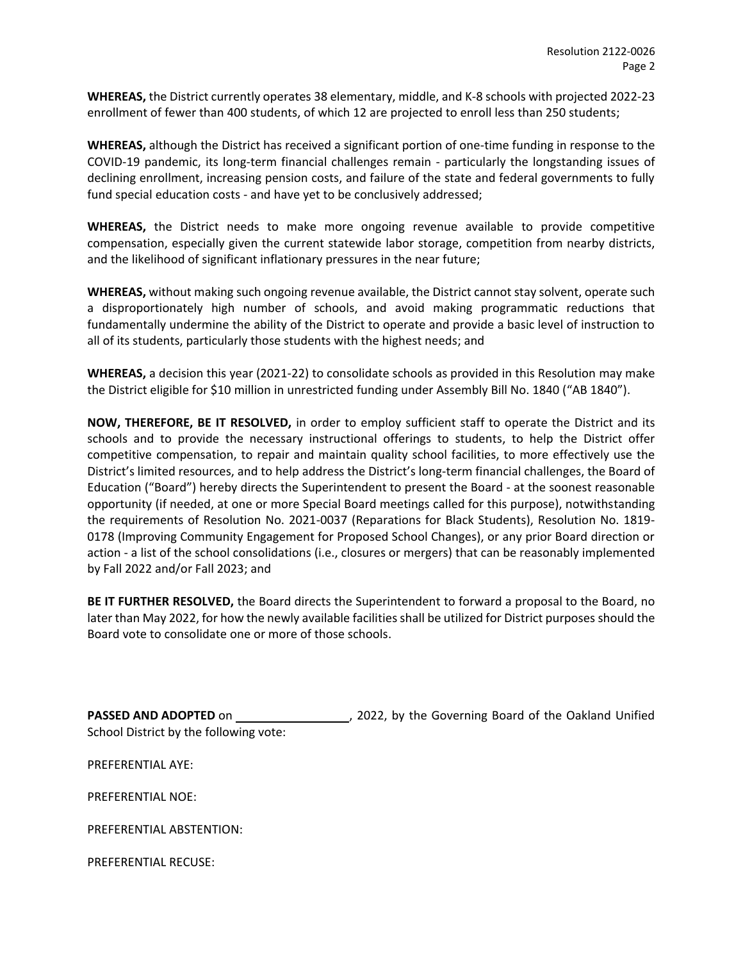**WHEREAS,** the District currently operates 38 elementary, middle, and K-8 schools with projected 2022-23 enrollment of fewer than 400 students, of which 12 are projected to enroll less than 250 students;

**WHEREAS,** although the District has received a significant portion of one-time funding in response to the COVID-19 pandemic, its long-term financial challenges remain - particularly the longstanding issues of declining enrollment, increasing pension costs, and failure of the state and federal governments to fully fund special education costs - and have yet to be conclusively addressed;

**WHEREAS,** the District needs to make more ongoing revenue available to provide competitive compensation, especially given the current statewide labor storage, competition from nearby districts, and the likelihood of significant inflationary pressures in the near future;

**WHEREAS,** without making such ongoing revenue available, the District cannot stay solvent, operate such a disproportionately high number of schools, and avoid making programmatic reductions that fundamentally undermine the ability of the District to operate and provide a basic level of instruction to all of its students, particularly those students with the highest needs; and

**WHEREAS,** a decision this year (2021-22) to consolidate schools as provided in this Resolution may make the District eligible for \$10 million in unrestricted funding under Assembly Bill No. 1840 ("AB 1840").

**NOW, THEREFORE, BE IT RESOLVED,** in order to employ sufficient staff to operate the District and its schools and to provide the necessary instructional offerings to students, to help the District offer competitive compensation, to repair and maintain quality school facilities, to more effectively use the District's limited resources, and to help address the District's long-term financial challenges, the Board of Education ("Board") hereby directs the Superintendent to present the Board - at the soonest reasonable opportunity (if needed, at one or more Special Board meetings called for this purpose), notwithstanding the requirements of Resolution No. 2021-0037 (Reparations for Black Students), Resolution No. 1819- 0178 (Improving Community Engagement for Proposed School Changes), or any prior Board direction or action - a list of the school consolidations (i.e., closures or mergers) that can be reasonably implemented by Fall 2022 and/or Fall 2023; and

**BE IT FURTHER RESOLVED,** the Board directs the Superintendent to forward a proposal to the Board, no later than May 2022, for how the newly available facilities shall be utilized for District purposes should the Board vote to consolidate one or more of those schools.

**PASSED AND ADOPTED** on , 2022, by the Governing Board of the Oakland Unified School District by the following vote:

PREFERENTIAL AYE:

PREFERENTIAL NOE:

PREFERENTIAL ABSTENTION:

PREFERENTIAL RECUSE: